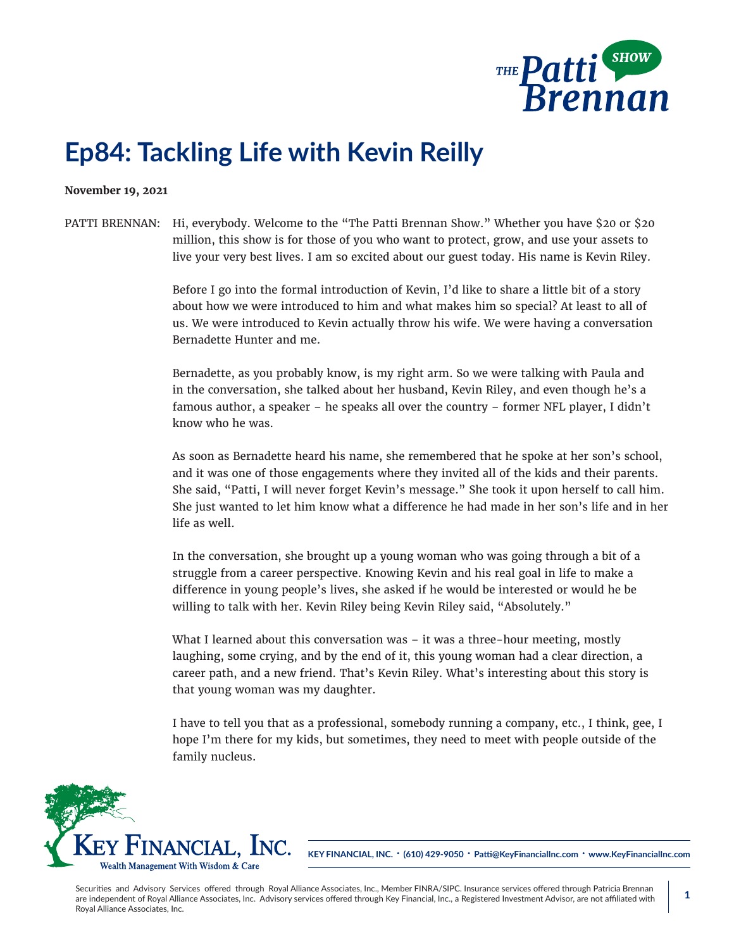

## **Ep84: Tackling Life with Kevin Reilly**

## **November 19, 2021**

## PATTI BRENNAN: Hi, everybody. Welcome to the "The Patti Brennan Show." Whether you have \$20 or \$20 million, this show is for those of you who want to protect, grow, and use your assets to live your very best lives. I am so excited about our guest today. His name is Kevin Riley.

Before I go into the formal introduction of Kevin, I'd like to share a little bit of a story about how we were introduced to him and what makes him so special? At least to all of us. We were introduced to Kevin actually throw his wife. We were having a conversation Bernadette Hunter and me.

Bernadette, as you probably know, is my right arm. So we were talking with Paula and in the conversation, she talked about her husband, Kevin Riley, and even though he's a famous author, a speaker – he speaks all over the country – former NFL player, I didn't know who he was.

As soon as Bernadette heard his name, she remembered that he spoke at her son's school, and it was one of those engagements where they invited all of the kids and their parents. She said, "Patti, I will never forget Kevin's message." She took it upon herself to call him. She just wanted to let him know what a difference he had made in her son's life and in her life as well.

In the conversation, she brought up a young woman who was going through a bit of a struggle from a career perspective. Knowing Kevin and his real goal in life to make a difference in young people's lives, she asked if he would be interested or would he be willing to talk with her. Kevin Riley being Kevin Riley said, "Absolutely."

What I learned about this conversation was – it was a three-hour meeting, mostly laughing, some crying, and by the end of it, this young woman had a clear direction, a career path, and a new friend. That's Kevin Riley. What's interesting about this story is that young woman was my daughter.

I have to tell you that as a professional, somebody running a company, etc., I think, gee, I hope I'm there for my kids, but sometimes, they need to meet with people outside of the family nucleus.



**KEY FINANCIAL, INC. • (610) 429-9050 • Patti@KeyFinancialInc.com • www.KeyFinancialInc.com**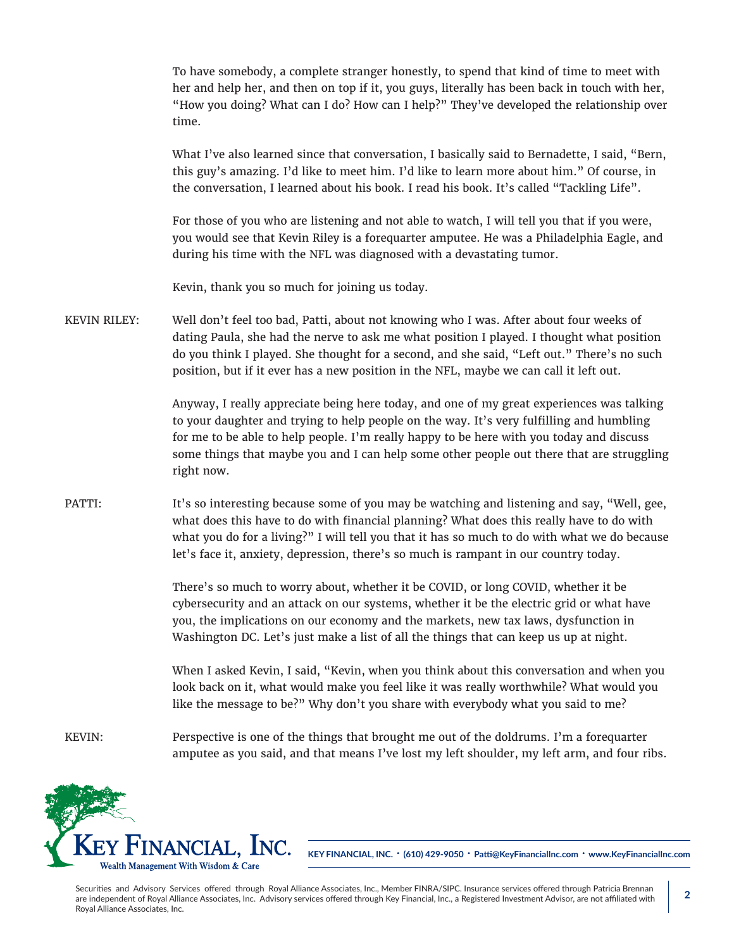To have somebody, a complete stranger honestly, to spend that kind of time to meet with her and help her, and then on top if it, you guys, literally has been back in touch with her, "How you doing? What can I do? How can I help?" They've developed the relationship over time.

What I've also learned since that conversation, I basically said to Bernadette, I said, "Bern, this guy's amazing. I'd like to meet him. I'd like to learn more about him." Of course, in the conversation, I learned about his book. I read his book. It's called "Tackling Life".

For those of you who are listening and not able to watch, I will tell you that if you were, you would see that Kevin Riley is a forequarter amputee. He was a Philadelphia Eagle, and during his time with the NFL was diagnosed with a devastating tumor.

Kevin, thank you so much for joining us today.

KEVIN RILEY: Well don't feel too bad, Patti, about not knowing who I was. After about four weeks of dating Paula, she had the nerve to ask me what position I played. I thought what position do you think I played. She thought for a second, and she said, "Left out." There's no such position, but if it ever has a new position in the NFL, maybe we can call it left out.

> Anyway, I really appreciate being here today, and one of my great experiences was talking to your daughter and trying to help people on the way. It's very fulfilling and humbling for me to be able to help people. I'm really happy to be here with you today and discuss some things that maybe you and I can help some other people out there that are struggling right now.

PATTI: It's so interesting because some of you may be watching and listening and say, "Well, gee, what does this have to do with financial planning? What does this really have to do with what you do for a living?" I will tell you that it has so much to do with what we do because let's face it, anxiety, depression, there's so much is rampant in our country today.

> There's so much to worry about, whether it be COVID, or long COVID, whether it be cybersecurity and an attack on our systems, whether it be the electric grid or what have you, the implications on our economy and the markets, new tax laws, dysfunction in Washington DC. Let's just make a list of all the things that can keep us up at night.

When I asked Kevin, I said, "Kevin, when you think about this conversation and when you look back on it, what would make you feel like it was really worthwhile? What would you like the message to be?" Why don't you share with everybody what you said to me?

KEVIN: Perspective is one of the things that brought me out of the doldrums. I'm a forequarter amputee as you said, and that means I've lost my left shoulder, my left arm, and four ribs.



**KEY FINANCIAL, INC. • (610) 429-9050 • Patti@KeyFinancialInc.com • www.KeyFinancialInc.com**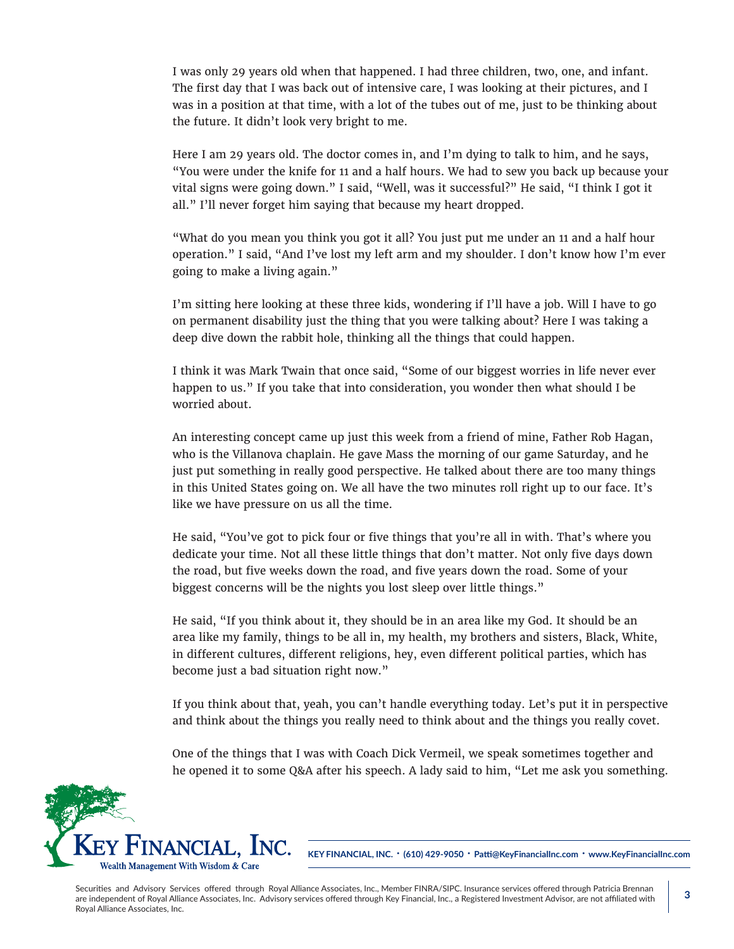I was only 29 years old when that happened. I had three children, two, one, and infant. The first day that I was back out of intensive care, I was looking at their pictures, and I was in a position at that time, with a lot of the tubes out of me, just to be thinking about the future. It didn't look very bright to me.

Here I am 29 years old. The doctor comes in, and I'm dying to talk to him, and he says, "You were under the knife for 11 and a half hours. We had to sew you back up because your vital signs were going down." I said, "Well, was it successful?" He said, "I think I got it all." I'll never forget him saying that because my heart dropped.

"What do you mean you think you got it all? You just put me under an 11 and a half hour operation." I said, "And I've lost my left arm and my shoulder. I don't know how I'm ever going to make a living again."

I'm sitting here looking at these three kids, wondering if I'll have a job. Will I have to go on permanent disability just the thing that you were talking about? Here I was taking a deep dive down the rabbit hole, thinking all the things that could happen.

I think it was Mark Twain that once said, "Some of our biggest worries in life never ever happen to us." If you take that into consideration, you wonder then what should I be worried about.

An interesting concept came up just this week from a friend of mine, Father Rob Hagan, who is the Villanova chaplain. He gave Mass the morning of our game Saturday, and he just put something in really good perspective. He talked about there are too many things in this United States going on. We all have the two minutes roll right up to our face. It's like we have pressure on us all the time.

He said, "You've got to pick four or five things that you're all in with. That's where you dedicate your time. Not all these little things that don't matter. Not only five days down the road, but five weeks down the road, and five years down the road. Some of your biggest concerns will be the nights you lost sleep over little things."

He said, "If you think about it, they should be in an area like my God. It should be an area like my family, things to be all in, my health, my brothers and sisters, Black, White, in different cultures, different religions, hey, even different political parties, which has become just a bad situation right now."

If you think about that, yeah, you can't handle everything today. Let's put it in perspective and think about the things you really need to think about and the things you really covet.

One of the things that I was with Coach Dick Vermeil, we speak sometimes together and he opened it to some Q&A after his speech. A lady said to him, "Let me ask you something.



**KEY FINANCIAL, INC. • (610) 429-9050 • Patti@KeyFinancialInc.com • www.KeyFinancialInc.com**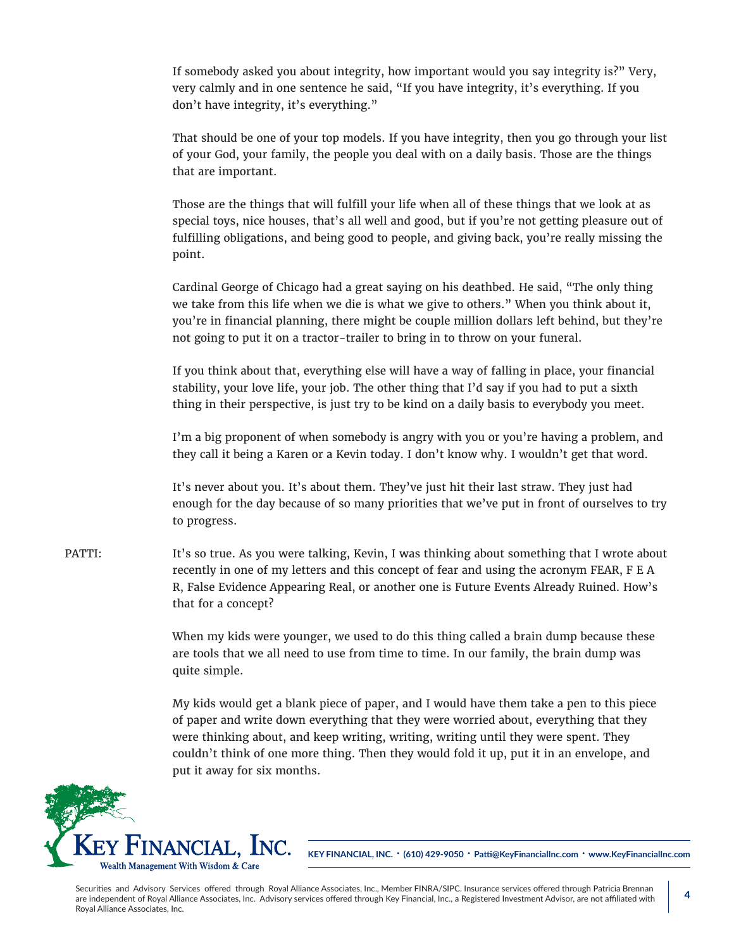If somebody asked you about integrity, how important would you say integrity is?" Very, very calmly and in one sentence he said, "If you have integrity, it's everything. If you don't have integrity, it's everything."

That should be one of your top models. If you have integrity, then you go through your list of your God, your family, the people you deal with on a daily basis. Those are the things that are important.

Those are the things that will fulfill your life when all of these things that we look at as special toys, nice houses, that's all well and good, but if you're not getting pleasure out of fulfilling obligations, and being good to people, and giving back, you're really missing the point.

Cardinal George of Chicago had a great saying on his deathbed. He said, "The only thing we take from this life when we die is what we give to others." When you think about it, you're in financial planning, there might be couple million dollars left behind, but they're not going to put it on a tractor-trailer to bring in to throw on your funeral.

If you think about that, everything else will have a way of falling in place, your financial stability, your love life, your job. The other thing that I'd say if you had to put a sixth thing in their perspective, is just try to be kind on a daily basis to everybody you meet.

I'm a big proponent of when somebody is angry with you or you're having a problem, and they call it being a Karen or a Kevin today. I don't know why. I wouldn't get that word.

It's never about you. It's about them. They've just hit their last straw. They just had enough for the day because of so many priorities that we've put in front of ourselves to try to progress.

PATTI: It's so true. As you were talking, Kevin, I was thinking about something that I wrote about recently in one of my letters and this concept of fear and using the acronym FEAR, F E A R, False Evidence Appearing Real, or another one is Future Events Already Ruined. How's that for a concept?

> When my kids were younger, we used to do this thing called a brain dump because these are tools that we all need to use from time to time. In our family, the brain dump was quite simple.

> My kids would get a blank piece of paper, and I would have them take a pen to this piece of paper and write down everything that they were worried about, everything that they were thinking about, and keep writing, writing, writing until they were spent. They couldn't think of one more thing. Then they would fold it up, put it in an envelope, and put it away for six months.



**KEY FINANCIAL, INC. • (610) 429-9050 • Patti@KeyFinancialInc.com • www.KeyFinancialInc.com**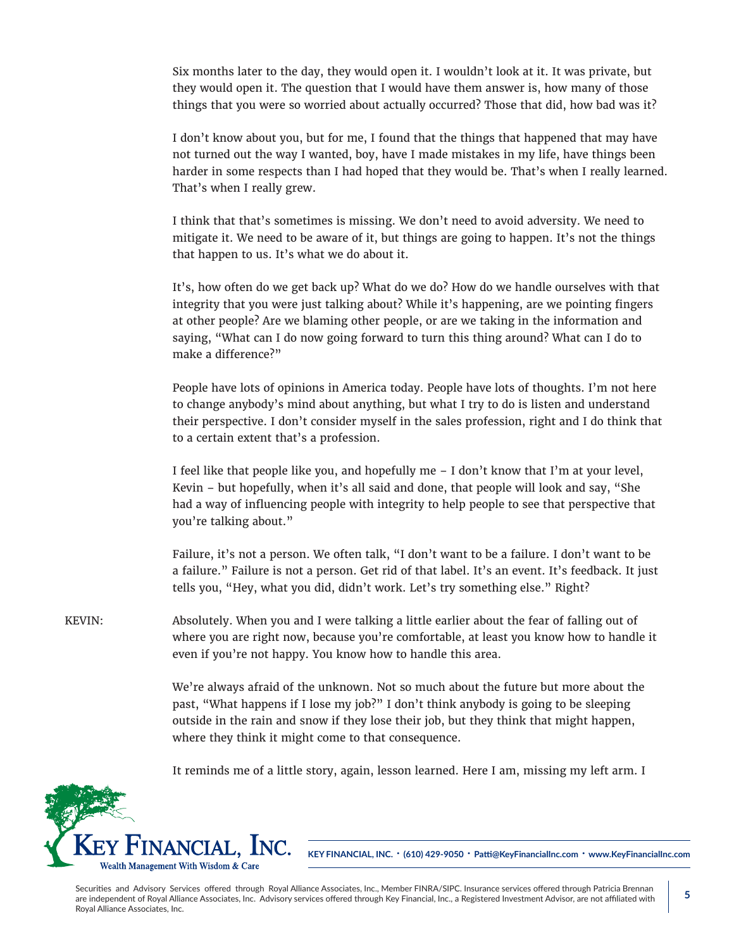Six months later to the day, they would open it. I wouldn't look at it. It was private, but they would open it. The question that I would have them answer is, how many of those things that you were so worried about actually occurred? Those that did, how bad was it?

I don't know about you, but for me, I found that the things that happened that may have not turned out the way I wanted, boy, have I made mistakes in my life, have things been harder in some respects than I had hoped that they would be. That's when I really learned. That's when I really grew.

I think that that's sometimes is missing. We don't need to avoid adversity. We need to mitigate it. We need to be aware of it, but things are going to happen. It's not the things that happen to us. It's what we do about it.

It's, how often do we get back up? What do we do? How do we handle ourselves with that integrity that you were just talking about? While it's happening, are we pointing fingers at other people? Are we blaming other people, or are we taking in the information and saying, "What can I do now going forward to turn this thing around? What can I do to make a difference?"

People have lots of opinions in America today. People have lots of thoughts. I'm not here to change anybody's mind about anything, but what I try to do is listen and understand their perspective. I don't consider myself in the sales profession, right and I do think that to a certain extent that's a profession.

I feel like that people like you, and hopefully me – I don't know that I'm at your level, Kevin – but hopefully, when it's all said and done, that people will look and say, "She had a way of influencing people with integrity to help people to see that perspective that you're talking about."

Failure, it's not a person. We often talk, "I don't want to be a failure. I don't want to be a failure." Failure is not a person. Get rid of that label. It's an event. It's feedback. It just tells you, "Hey, what you did, didn't work. Let's try something else." Right?

KEVIN: Absolutely. When you and I were talking a little earlier about the fear of falling out of where you are right now, because you're comfortable, at least you know how to handle it even if you're not happy. You know how to handle this area.

> We're always afraid of the unknown. Not so much about the future but more about the past, "What happens if I lose my job?" I don't think anybody is going to be sleeping outside in the rain and snow if they lose their job, but they think that might happen, where they think it might come to that consequence.

> It reminds me of a little story, again, lesson learned. Here I am, missing my left arm. I



**KEY FINANCIAL, INC. • (610) 429-9050 • Patti@KeyFinancialInc.com • www.KeyFinancialInc.com**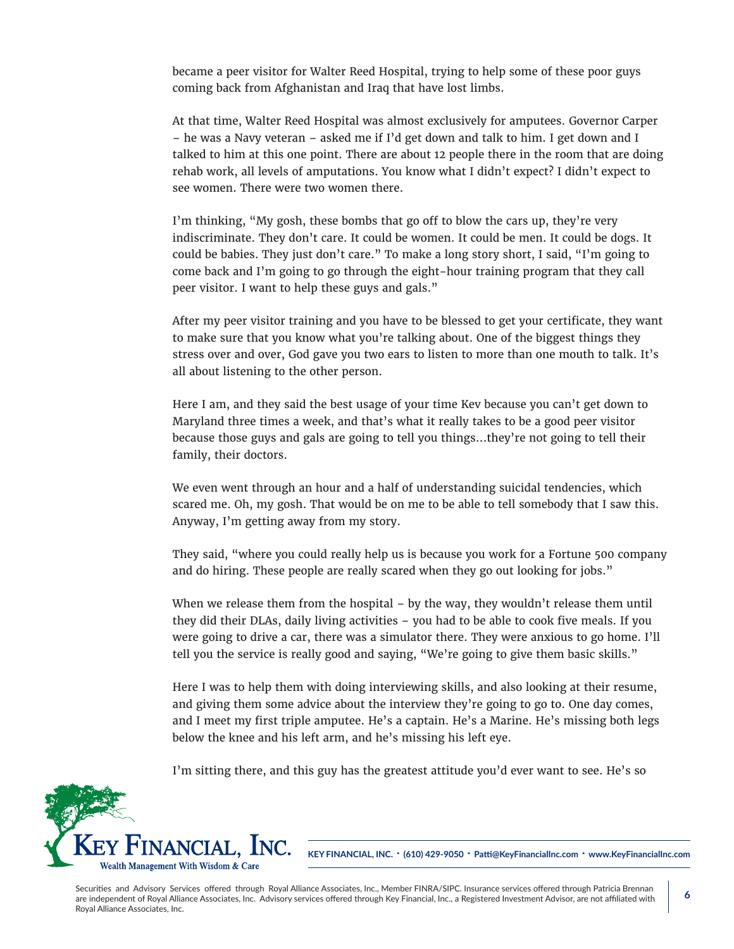became a peer visitor for Walter Reed Hospital, trying to help some of these poor guys coming back from Afghanistan and Iraq that have lost limbs.

At that time, Walter Reed Hospital was almost exclusively for amputees. Governor Carper – he was a Navy veteran – asked me if I'd get down and talk to him. I get down and I talked to him at this one point. There are about 12 people there in the room that are doing rehab work, all levels of amputations. You know what I didn't expect? I didn't expect to see women. There were two women there.

I'm thinking, "My gosh, these bombs that go off to blow the cars up, they're very indiscriminate. They don't care. It could be women. It could be men. It could be dogs. It could be babies. They just don't care." To make a long story short, I said, "I'm going to come back and I'm going to go through the eight-hour training program that they call peer visitor. I want to help these guys and gals."

After my peer visitor training and you have to be blessed to get your certificate, they want to make sure that you know what you're talking about. One of the biggest things they stress over and over, God gave you two ears to listen to more than one mouth to talk. It's all about listening to the other person.

Here I am, and they said the best usage of your time Kev because you can't get down to Maryland three times a week, and that's what it really takes to be a good peer visitor because those guys and gals are going to tell you things…they're not going to tell their family, their doctors.

We even went through an hour and a half of understanding suicidal tendencies, which scared me. Oh, my gosh. That would be on me to be able to tell somebody that I saw this. Anyway, I'm getting away from my story.

They said, "where you could really help us is because you work for a Fortune 500 company and do hiring. These people are really scared when they go out looking for jobs."

When we release them from the hospital – by the way, they wouldn't release them until they did their DLAs, daily living activities – you had to be able to cook five meals. If you were going to drive a car, there was a simulator there. They were anxious to go home. I'll tell you the service is really good and saying, "We're going to give them basic skills."

Here I was to help them with doing interviewing skills, and also looking at their resume, and giving them some advice about the interview they're going to go to. One day comes, and I meet my first triple amputee. He's a captain. He's a Marine. He's missing both legs below the knee and his left arm, and he's missing his left eye.

I'm sitting there, and this guy has the greatest attitude you'd ever want to see. He's so



**KEY FINANCIAL, INC. • (610) 429-9050 • Patti@KeyFinancialInc.com • www.KeyFinancialInc.com**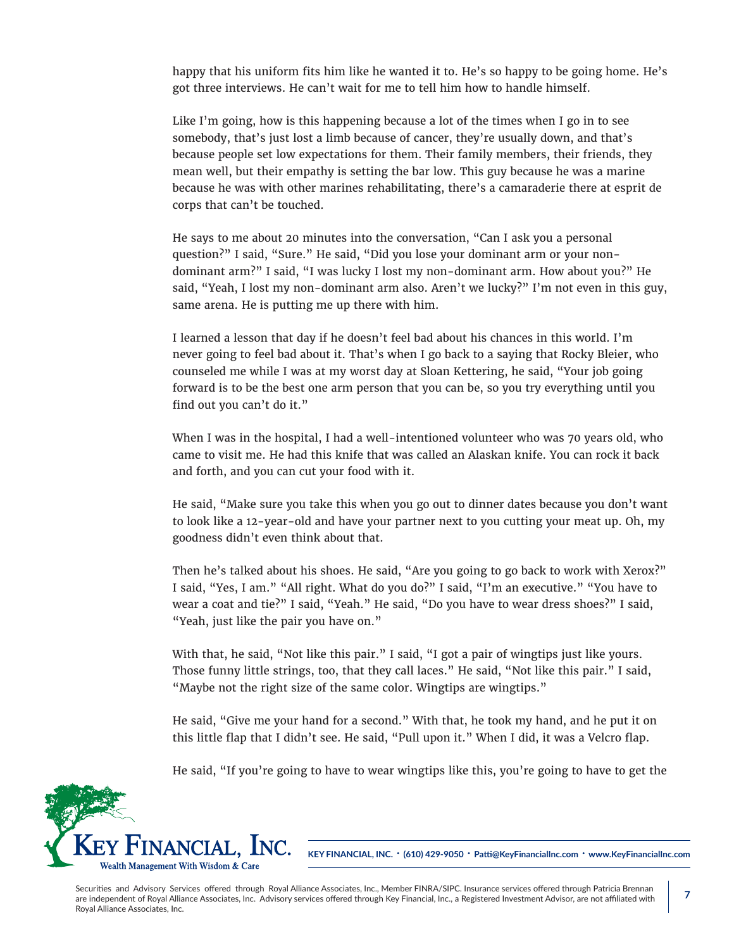happy that his uniform fits him like he wanted it to. He's so happy to be going home. He's got three interviews. He can't wait for me to tell him how to handle himself.

Like I'm going, how is this happening because a lot of the times when I go in to see somebody, that's just lost a limb because of cancer, they're usually down, and that's because people set low expectations for them. Their family members, their friends, they mean well, but their empathy is setting the bar low. This guy because he was a marine because he was with other marines rehabilitating, there's a camaraderie there at esprit de corps that can't be touched.

He says to me about 20 minutes into the conversation, "Can I ask you a personal question?" I said, "Sure." He said, "Did you lose your dominant arm or your nondominant arm?" I said, "I was lucky I lost my non-dominant arm. How about you?" He said, "Yeah, I lost my non-dominant arm also. Aren't we lucky?" I'm not even in this guy, same arena. He is putting me up there with him.

I learned a lesson that day if he doesn't feel bad about his chances in this world. I'm never going to feel bad about it. That's when I go back to a saying that Rocky Bleier, who counseled me while I was at my worst day at Sloan Kettering, he said, "Your job going forward is to be the best one arm person that you can be, so you try everything until you find out you can't do it."

When I was in the hospital, I had a well-intentioned volunteer who was 70 years old, who came to visit me. He had this knife that was called an Alaskan knife. You can rock it back and forth, and you can cut your food with it.

He said, "Make sure you take this when you go out to dinner dates because you don't want to look like a 12-year-old and have your partner next to you cutting your meat up. Oh, my goodness didn't even think about that.

Then he's talked about his shoes. He said, "Are you going to go back to work with Xerox?" I said, "Yes, I am." "All right. What do you do?" I said, "I'm an executive." "You have to wear a coat and tie?" I said, "Yeah." He said, "Do you have to wear dress shoes?" I said, "Yeah, just like the pair you have on."

With that, he said, "Not like this pair." I said, "I got a pair of wingtips just like yours. Those funny little strings, too, that they call laces." He said, "Not like this pair." I said, "Maybe not the right size of the same color. Wingtips are wingtips."

He said, "Give me your hand for a second." With that, he took my hand, and he put it on this little flap that I didn't see. He said, "Pull upon it." When I did, it was a Velcro flap.

He said, "If you're going to have to wear wingtips like this, you're going to have to get the



**KEY FINANCIAL, INC. • (610) 429-9050 • Patti@KeyFinancialInc.com • www.KeyFinancialInc.com**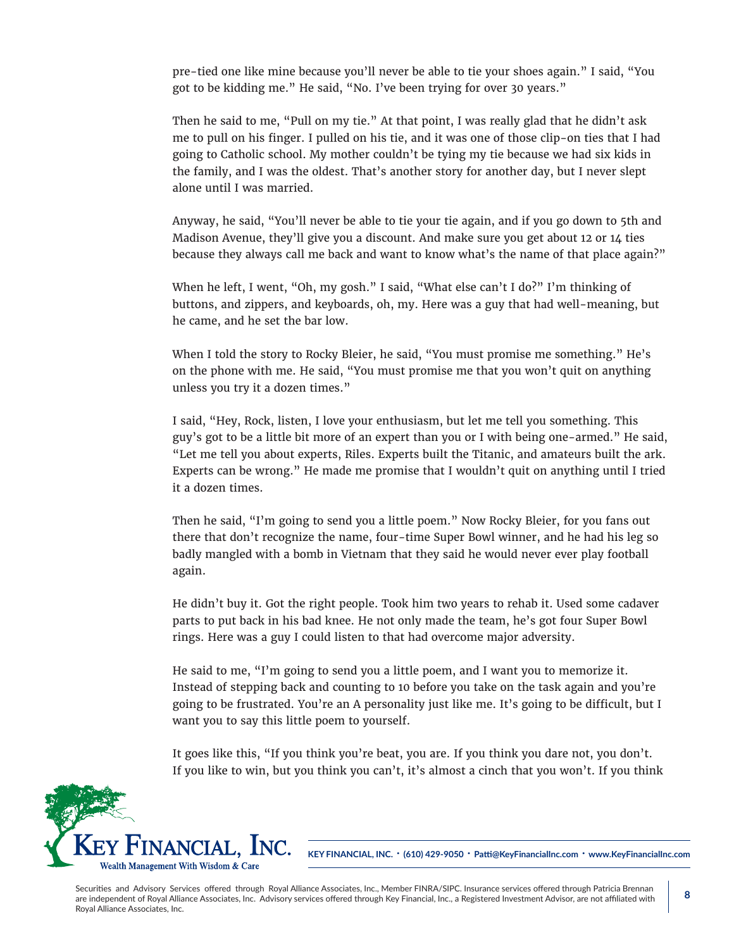pre-tied one like mine because you'll never be able to tie your shoes again." I said, "You got to be kidding me." He said, "No. I've been trying for over 30 years."

Then he said to me, "Pull on my tie." At that point, I was really glad that he didn't ask me to pull on his finger. I pulled on his tie, and it was one of those clip-on ties that I had going to Catholic school. My mother couldn't be tying my tie because we had six kids in the family, and I was the oldest. That's another story for another day, but I never slept alone until I was married.

Anyway, he said, "You'll never be able to tie your tie again, and if you go down to 5th and Madison Avenue, they'll give you a discount. And make sure you get about 12 or 14 ties because they always call me back and want to know what's the name of that place again?"

When he left, I went, "Oh, my gosh." I said, "What else can't I do?" I'm thinking of buttons, and zippers, and keyboards, oh, my. Here was a guy that had well-meaning, but he came, and he set the bar low.

When I told the story to Rocky Bleier, he said, "You must promise me something." He's on the phone with me. He said, "You must promise me that you won't quit on anything unless you try it a dozen times."

I said, "Hey, Rock, listen, I love your enthusiasm, but let me tell you something. This guy's got to be a little bit more of an expert than you or I with being one-armed." He said, "Let me tell you about experts, Riles. Experts built the Titanic, and amateurs built the ark. Experts can be wrong." He made me promise that I wouldn't quit on anything until I tried it a dozen times.

Then he said, "I'm going to send you a little poem." Now Rocky Bleier, for you fans out there that don't recognize the name, four-time Super Bowl winner, and he had his leg so badly mangled with a bomb in Vietnam that they said he would never ever play football again.

He didn't buy it. Got the right people. Took him two years to rehab it. Used some cadaver parts to put back in his bad knee. He not only made the team, he's got four Super Bowl rings. Here was a guy I could listen to that had overcome major adversity.

He said to me, "I'm going to send you a little poem, and I want you to memorize it. Instead of stepping back and counting to 10 before you take on the task again and you're going to be frustrated. You're an A personality just like me. It's going to be difficult, but I want you to say this little poem to yourself.

It goes like this, "If you think you're beat, you are. If you think you dare not, you don't. If you like to win, but you think you can't, it's almost a cinch that you won't. If you think



**KEY FINANCIAL, INC. • (610) 429-9050 • Patti@KeyFinancialInc.com • www.KeyFinancialInc.com**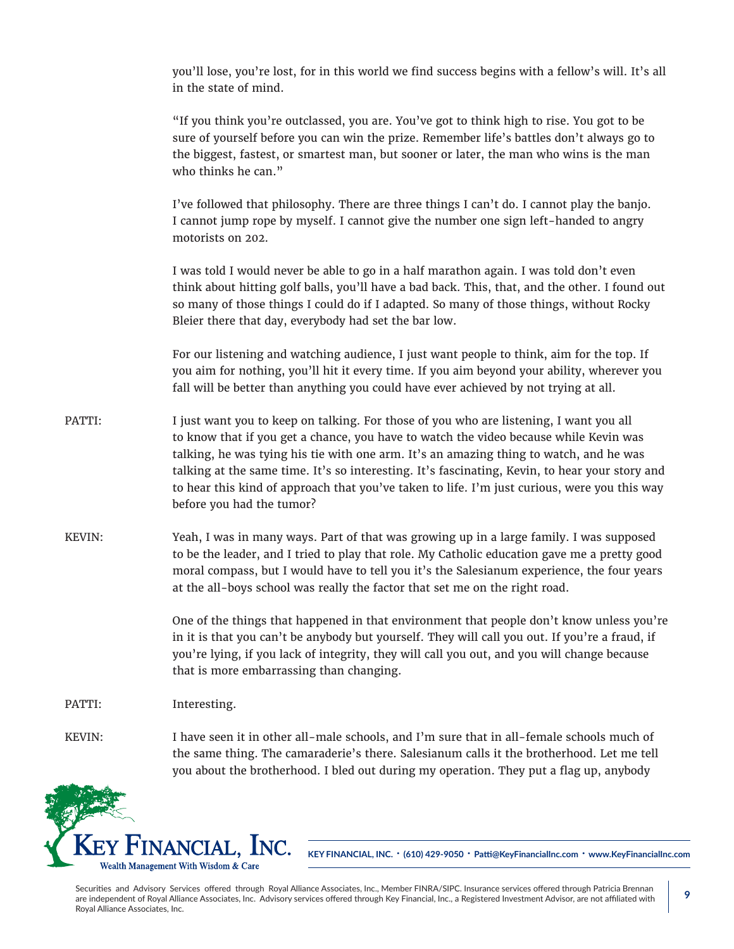you'll lose, you're lost, for in this world we find success begins with a fellow's will. It's all in the state of mind.

"If you think you're outclassed, you are. You've got to think high to rise. You got to be sure of yourself before you can win the prize. Remember life's battles don't always go to the biggest, fastest, or smartest man, but sooner or later, the man who wins is the man who thinks he can."

I've followed that philosophy. There are three things I can't do. I cannot play the banjo. I cannot jump rope by myself. I cannot give the number one sign left-handed to angry motorists on 202.

I was told I would never be able to go in a half marathon again. I was told don't even think about hitting golf balls, you'll have a bad back. This, that, and the other. I found out so many of those things I could do if I adapted. So many of those things, without Rocky Bleier there that day, everybody had set the bar low.

For our listening and watching audience, I just want people to think, aim for the top. If you aim for nothing, you'll hit it every time. If you aim beyond your ability, wherever you fall will be better than anything you could have ever achieved by not trying at all.

- PATTI: I just want you to keep on talking. For those of you who are listening, I want you all to know that if you get a chance, you have to watch the video because while Kevin was talking, he was tying his tie with one arm. It's an amazing thing to watch, and he was talking at the same time. It's so interesting. It's fascinating, Kevin, to hear your story and to hear this kind of approach that you've taken to life. I'm just curious, were you this way before you had the tumor?
- KEVIN: Yeah, I was in many ways. Part of that was growing up in a large family. I was supposed to be the leader, and I tried to play that role. My Catholic education gave me a pretty good moral compass, but I would have to tell you it's the Salesianum experience, the four years at the all-boys school was really the factor that set me on the right road.

One of the things that happened in that environment that people don't know unless you're in it is that you can't be anybody but yourself. They will call you out. If you're a fraud, if you're lying, if you lack of integrity, they will call you out, and you will change because that is more embarrassing than changing.

PATTI: Interesting.

KEVIN: I have seen it in other all-male schools, and I'm sure that in all-female schools much of the same thing. The camaraderie's there. Salesianum calls it the brotherhood. Let me tell you about the brotherhood. I bled out during my operation. They put a flag up, anybody



**KEY FINANCIAL, INC. • (610) 429-9050 • Patti@KeyFinancialInc.com • www.KeyFinancialInc.com**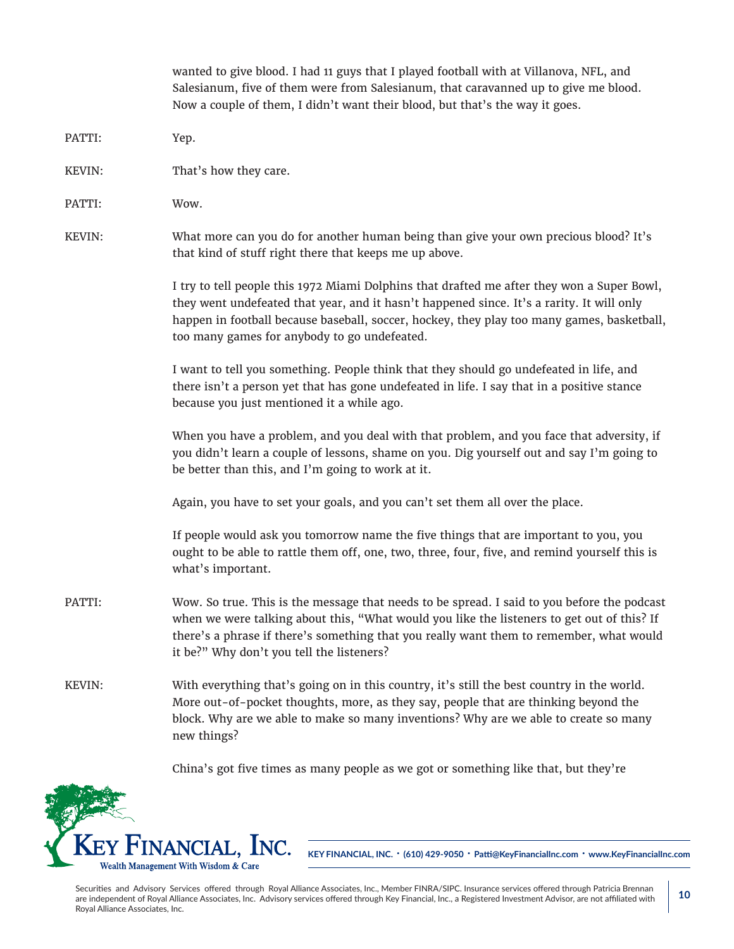wanted to give blood. I had 11 guys that I played football with at Villanova, NFL, and Salesianum, five of them were from Salesianum, that caravanned up to give me blood. Now a couple of them, I didn't want their blood, but that's the way it goes. PATTI: Yep. KEVIN: That's how they care. PATTI: Wow. KEVIN: What more can you do for another human being than give your own precious blood? It's that kind of stuff right there that keeps me up above. I try to tell people this 1972 Miami Dolphins that drafted me after they won a Super Bowl, they went undefeated that year, and it hasn't happened since. It's a rarity. It will only happen in football because baseball, soccer, hockey, they play too many games, basketball, too many games for anybody to go undefeated. I want to tell you something. People think that they should go undefeated in life, and there isn't a person yet that has gone undefeated in life. I say that in a positive stance because you just mentioned it a while ago. When you have a problem, and you deal with that problem, and you face that adversity, if you didn't learn a couple of lessons, shame on you. Dig yourself out and say I'm going to be better than this, and I'm going to work at it. Again, you have to set your goals, and you can't set them all over the place. If people would ask you tomorrow name the five things that are important to you, you ought to be able to rattle them off, one, two, three, four, five, and remind yourself this is what's important. PATTI: Wow. So true. This is the message that needs to be spread. I said to you before the podcast when we were talking about this, "What would you like the listeners to get out of this? If there's a phrase if there's something that you really want them to remember, what would it be?" Why don't you tell the listeners? KEVIN: With everything that's going on in this country, it's still the best country in the world. More out-of-pocket thoughts, more, as they say, people that are thinking beyond the block. Why are we able to make so many inventions? Why are we able to create so many new things?



**KEY FINANCIAL, INC. • (610) 429-9050 • Patti@KeyFinancialInc.com • www.KeyFinancialInc.com**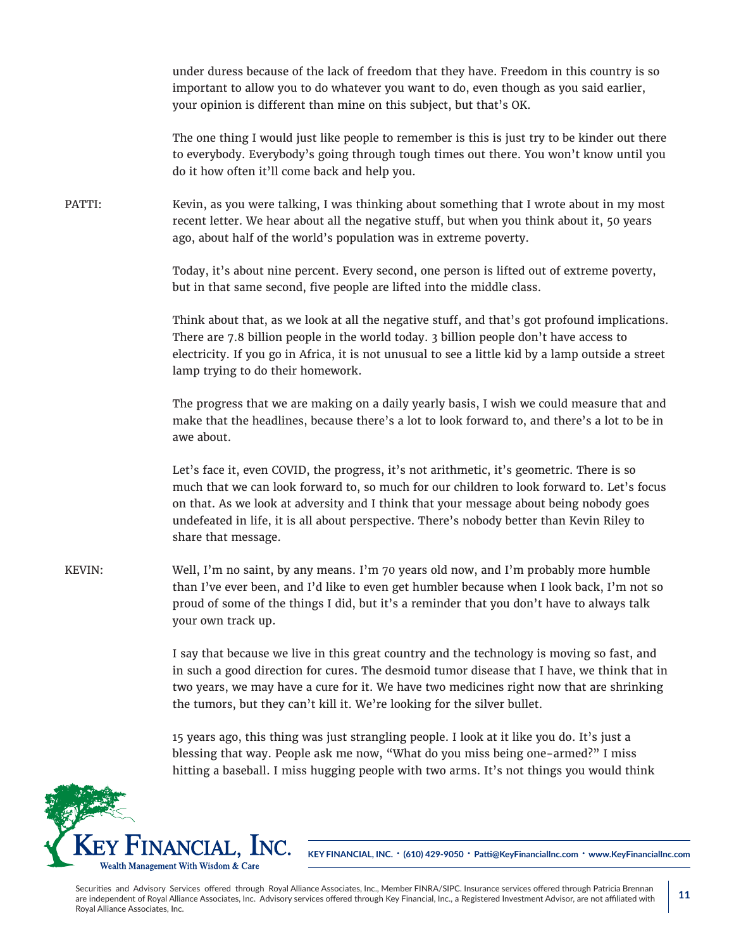under duress because of the lack of freedom that they have. Freedom in this country is so important to allow you to do whatever you want to do, even though as you said earlier, your opinion is different than mine on this subject, but that's OK.

The one thing I would just like people to remember is this is just try to be kinder out there to everybody. Everybody's going through tough times out there. You won't know until you do it how often it'll come back and help you.

PATTI: Kevin, as you were talking, I was thinking about something that I wrote about in my most recent letter. We hear about all the negative stuff, but when you think about it, 50 years ago, about half of the world's population was in extreme poverty.

> Today, it's about nine percent. Every second, one person is lifted out of extreme poverty, but in that same second, five people are lifted into the middle class.

Think about that, as we look at all the negative stuff, and that's got profound implications. There are 7.8 billion people in the world today. 3 billion people don't have access to electricity. If you go in Africa, it is not unusual to see a little kid by a lamp outside a street lamp trying to do their homework.

The progress that we are making on a daily yearly basis, I wish we could measure that and make that the headlines, because there's a lot to look forward to, and there's a lot to be in awe about.

Let's face it, even COVID, the progress, it's not arithmetic, it's geometric. There is so much that we can look forward to, so much for our children to look forward to. Let's focus on that. As we look at adversity and I think that your message about being nobody goes undefeated in life, it is all about perspective. There's nobody better than Kevin Riley to share that message.

KEVIN: Well, I'm no saint, by any means. I'm 70 years old now, and I'm probably more humble than I've ever been, and I'd like to even get humbler because when I look back, I'm not so proud of some of the things I did, but it's a reminder that you don't have to always talk your own track up.

> I say that because we live in this great country and the technology is moving so fast, and in such a good direction for cures. The desmoid tumor disease that I have, we think that in two years, we may have a cure for it. We have two medicines right now that are shrinking the tumors, but they can't kill it. We're looking for the silver bullet.

15 years ago, this thing was just strangling people. I look at it like you do. It's just a blessing that way. People ask me now, "What do you miss being one-armed?" I miss hitting a baseball. I miss hugging people with two arms. It's not things you would think



**KEY FINANCIAL, INC. • (610) 429-9050 • Patti@KeyFinancialInc.com • www.KeyFinancialInc.com**